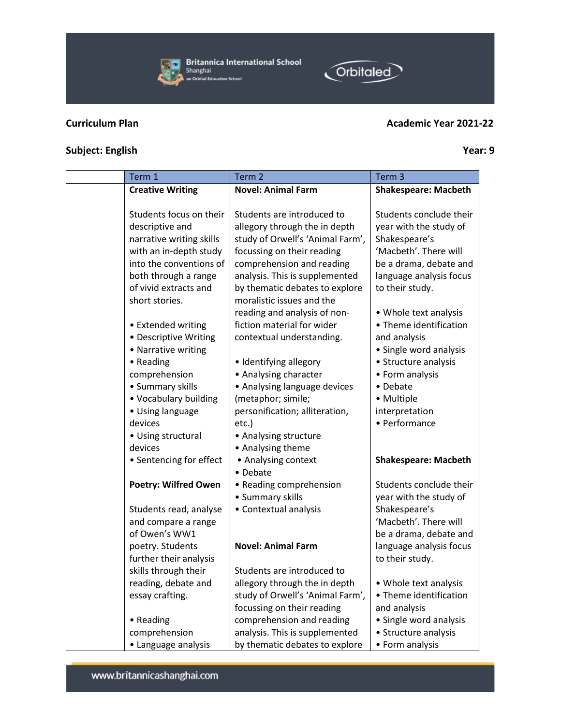

B**ritannica International School**<br>Shanghai<br>• an Orbital Education School

## **Curriculum Plan Academic Year 2021-22**

Orbitaled

## **Subject: English Year: 9**

| Term 1                      | Term <sub>2</sub>                | Term <sub>3</sub>           |
|-----------------------------|----------------------------------|-----------------------------|
| <b>Creative Writing</b>     | <b>Novel: Animal Farm</b>        | <b>Shakespeare: Macbeth</b> |
|                             |                                  |                             |
| Students focus on their     | Students are introduced to       | Students conclude their     |
| descriptive and             | allegory through the in depth    | year with the study of      |
| narrative writing skills    | study of Orwell's 'Animal Farm', | Shakespeare's               |
| with an in-depth study      | focussing on their reading       | 'Macbeth'. There will       |
| into the conventions of     | comprehension and reading        | be a drama, debate and      |
| both through a range        | analysis. This is supplemented   | language analysis focus     |
| of vivid extracts and       | by thematic debates to explore   | to their study.             |
| short stories.              | moralistic issues and the        |                             |
|                             | reading and analysis of non-     | • Whole text analysis       |
| • Extended writing          | fiction material for wider       | • Theme identification      |
| • Descriptive Writing       | contextual understanding.        | and analysis                |
| • Narrative writing         |                                  | · Single word analysis      |
| • Reading                   | • Identifying allegory           | • Structure analysis        |
| comprehension               | • Analysing character            | • Form analysis             |
| • Summary skills            | • Analysing language devices     | • Debate                    |
| • Vocabulary building       | (metaphor; simile;               | • Multiple                  |
| • Using language            | personification; alliteration,   | interpretation              |
| devices                     | etc.)                            | • Performance               |
| • Using structural          | • Analysing structure            |                             |
| devices                     | • Analysing theme                |                             |
| • Sentencing for effect     | • Analysing context              | <b>Shakespeare: Macbeth</b> |
|                             | • Debate                         |                             |
| <b>Poetry: Wilfred Owen</b> | • Reading comprehension          | Students conclude their     |
|                             | • Summary skills                 | year with the study of      |
| Students read, analyse      | • Contextual analysis            | Shakespeare's               |
| and compare a range         |                                  | 'Macbeth'. There will       |
| of Owen's WW1               |                                  | be a drama, debate and      |
| poetry. Students            | <b>Novel: Animal Farm</b>        | language analysis focus     |
| further their analysis      |                                  | to their study.             |
| skills through their        | Students are introduced to       |                             |
| reading, debate and         | allegory through the in depth    | • Whole text analysis       |
| essay crafting.             | study of Orwell's 'Animal Farm', | • Theme identification      |
|                             | focussing on their reading       | and analysis                |
| • Reading                   | comprehension and reading        | • Single word analysis      |
| comprehension               | analysis. This is supplemented   | • Structure analysis        |
| • Language analysis         | by thematic debates to explore   | • Form analysis             |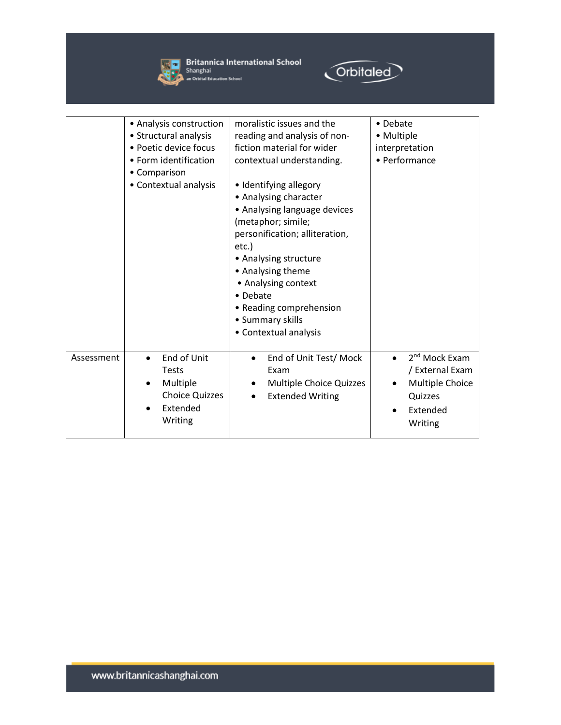

**Solution Britannica International School**<br>
Shanghai<br> **Example An Orbital Education School** 



|            | • Analysis construction<br>• Structural analysis<br>• Poetic device focus<br>• Form identification<br>• Comparison<br>• Contextual analysis | moralistic issues and the<br>reading and analysis of non-<br>fiction material for wider<br>contextual understanding.<br>• Identifying allegory<br>• Analysing character<br>• Analysing language devices<br>(metaphor; simile;<br>personification; alliteration,<br>etc.)<br>• Analysing structure<br>• Analysing theme<br>• Analysing context<br>• Debate<br>• Reading comprehension<br>• Summary skills<br>• Contextual analysis | • Debate<br>• Multiple<br>interpretation<br>• Performance                                                      |
|------------|---------------------------------------------------------------------------------------------------------------------------------------------|-----------------------------------------------------------------------------------------------------------------------------------------------------------------------------------------------------------------------------------------------------------------------------------------------------------------------------------------------------------------------------------------------------------------------------------|----------------------------------------------------------------------------------------------------------------|
| Assessment | End of Unit<br>$\bullet$<br><b>Tests</b><br>Multiple<br>$\bullet$<br><b>Choice Quizzes</b><br>Extended<br>Writing                           | End of Unit Test/ Mock<br>Exam<br>Multiple Choice Quizzes<br><b>Extended Writing</b>                                                                                                                                                                                                                                                                                                                                              | 2 <sup>nd</sup> Mock Exam<br>$\bullet$<br>/ External Exam<br>Multiple Choice<br>Quizzes<br>Extended<br>Writing |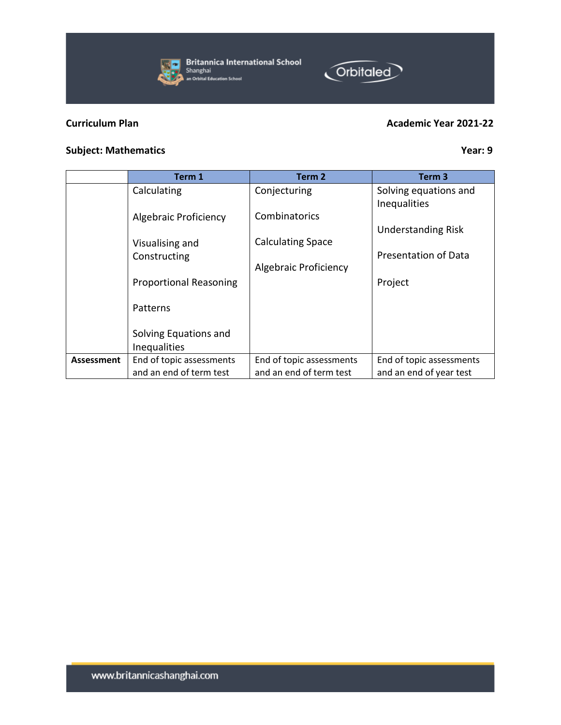

**Britannica International School** Shanghai<br>an Orbital Education School

## **Curriculum Plan Academic Year 2021-22**

Orbitaled

## **Subject:** Mathematics **Year:** 9

|                   | Term 1                                       | Term 2                   | Term 3                                |
|-------------------|----------------------------------------------|--------------------------|---------------------------------------|
|                   | Calculating                                  | Conjecturing             | Solving equations and<br>Inequalities |
|                   | <b>Algebraic Proficiency</b>                 | Combinatorics            | <b>Understanding Risk</b>             |
|                   | Visualising and<br>Constructing              | <b>Calculating Space</b> | <b>Presentation of Data</b>           |
|                   | <b>Proportional Reasoning</b>                | Algebraic Proficiency    | Project                               |
|                   | Patterns                                     |                          |                                       |
|                   | Solving Equations and<br><b>Inequalities</b> |                          |                                       |
| <b>Assessment</b> | End of topic assessments                     | End of topic assessments | End of topic assessments              |
|                   | and an end of term test                      | and an end of term test  | and an end of year test               |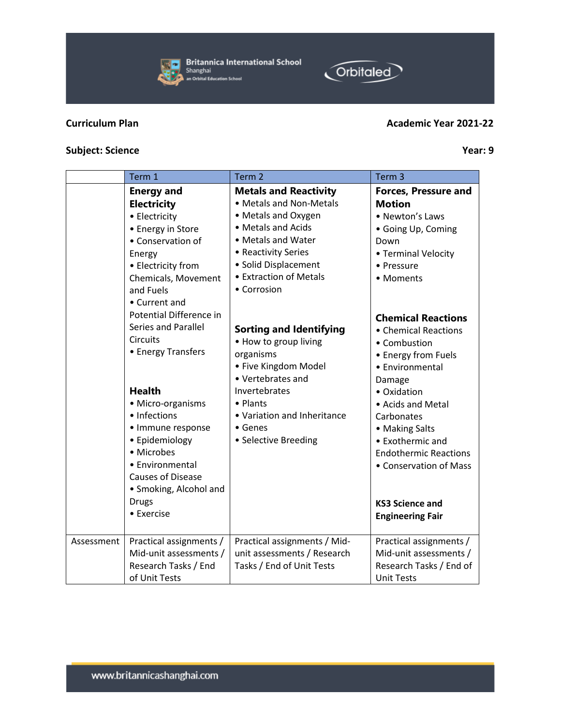

|            | <b>Electricity</b>         | • Metals and Non-Metals<br>• Metals and Oxygen | <b>Motion</b>                |
|------------|----------------------------|------------------------------------------------|------------------------------|
|            | • Electricity              |                                                | • Newton's Laws              |
|            | • Energy in Store          | • Metals and Acids                             | • Going Up, Coming           |
|            | • Conservation of          | • Metals and Water                             | Down                         |
|            | Energy                     | • Reactivity Series                            | • Terminal Velocity          |
|            | • Electricity from         | · Solid Displacement                           | • Pressure                   |
|            | Chemicals, Movement        | <b>• Extraction of Metals</b>                  | • Moments                    |
|            | and Fuels                  | • Corrosion                                    |                              |
|            | • Current and              |                                                |                              |
|            | Potential Difference in    |                                                | <b>Chemical Reactions</b>    |
|            | <b>Series and Parallel</b> | <b>Sorting and Identifying</b>                 | • Chemical Reactions         |
|            | <b>Circuits</b>            | • How to group living                          | • Combustion                 |
|            | • Energy Transfers         | organisms                                      | • Energy from Fuels          |
|            |                            | • Five Kingdom Model                           | • Environmental              |
|            |                            | • Vertebrates and                              |                              |
|            | <b>Health</b>              | Invertebrates                                  | Damage<br>• Oxidation        |
|            | • Micro-organisms          | • Plants                                       |                              |
|            | • Infections               | • Variation and Inheritance                    | • Acids and Metal            |
|            |                            |                                                | Carbonates                   |
|            | • Immune response          | $\bullet$ Genes                                | • Making Salts               |
|            | • Epidemiology             | • Selective Breeding                           | • Exothermic and             |
|            | • Microbes                 |                                                | <b>Endothermic Reactions</b> |
|            | • Environmental            |                                                | • Conservation of Mass       |
|            | <b>Causes of Disease</b>   |                                                |                              |
|            | • Smoking, Alcohol and     |                                                |                              |
|            | <b>Drugs</b>               |                                                | <b>KS3 Science and</b>       |
|            | • Exercise                 |                                                | <b>Engineering Fair</b>      |
|            |                            |                                                |                              |
| Assessment | Practical assignments /    | Practical assignments / Mid-                   | Practical assignments /      |
|            | Mid-unit assessments /     | unit assessments / Research                    | Mid-unit assessments /       |
|            | Research Tasks / End       | Tasks / End of Unit Tests                      | Research Tasks / End of      |
|            | of Unit Tests              |                                                | <b>Unit Tests</b>            |

Term 1 Term 2 Term 2 Term 3

**Metals and Reactivity**

## **Subject:** Science Year: 9

**Energy and** 

## **Britannica International School**  $\overline{a}$ Shanghai an Orbital Education School



**Forces, Pressure and** 

# **Orbitaled**

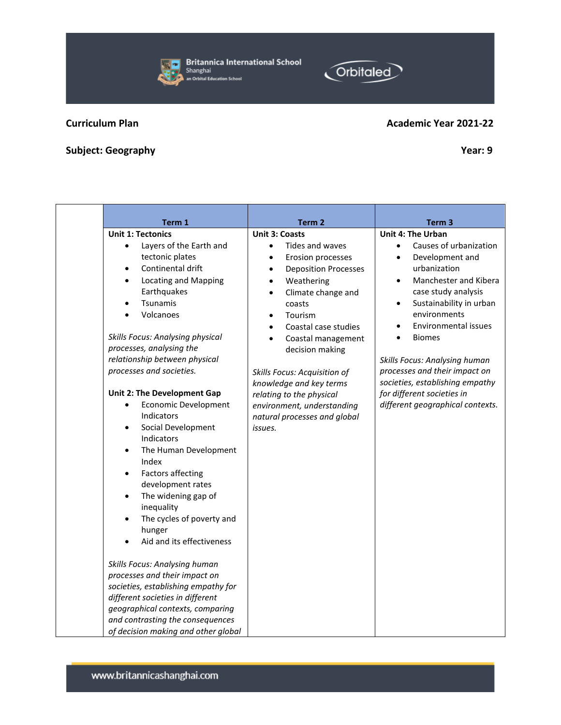Shanghai an Orbital Education School

## **Curriculum Plan Academic Year 2021-2221-2221-2221-2222 Academic Academic Academic Academic Academic Academic A**

## **Subject: Geography Year: 9**

**Unit 1: Tectonics**

• Layers of the Earth and tectonic plates • Continental drift • Locating and Mapping

Earthquakes • Tsunamis • Volcanoes

*Skills Focus: Analysing physical processes, analysing the* 

| relationship between physical   |                                                            |
|---------------------------------|------------------------------------------------------------|
| processes and societies.        | <b>Skills Focus: Acquisition</b><br>knowledge and key terr |
| Unit 2: The Development Gap     | relating to the physical                                   |
| Economic Development            | environment, understar                                     |
| Indicators                      | natural processes and q                                    |
| Social Development<br>$\bullet$ | issues.                                                    |
| Indicators                      |                                                            |
| The Human Development           |                                                            |

Factors affecting development rates • The widening gap of inequality The cycles of poverty and

Index

hunger • Aid and its effectiveness

*Skills Focus: Analysing human processes and their impact on societies, establishing empathy for different societies in different geographical contexts, comparing and contrasting the consequences of decision making and other global* 

| <b>Academic Year 2021-22</b> |
|------------------------------|
|------------------------------|

| Term 1                                                                                                                                                                                                                                                                                                               | Term <sub>2</sub>                                                                                                                                                                                                                                                                                                                                                       | Term <sub>3</sub>                                                                                                                                                                                                                                                                                                                                                                |
|----------------------------------------------------------------------------------------------------------------------------------------------------------------------------------------------------------------------------------------------------------------------------------------------------------------------|-------------------------------------------------------------------------------------------------------------------------------------------------------------------------------------------------------------------------------------------------------------------------------------------------------------------------------------------------------------------------|----------------------------------------------------------------------------------------------------------------------------------------------------------------------------------------------------------------------------------------------------------------------------------------------------------------------------------------------------------------------------------|
|                                                                                                                                                                                                                                                                                                                      | <b>Unit 3: Coasts</b>                                                                                                                                                                                                                                                                                                                                                   | <b>Unit 4: The Urban</b>                                                                                                                                                                                                                                                                                                                                                         |
| ics<br>s of the Earth and<br>nic plates<br>nental drift<br>ing and Mapping<br>quakes<br>ımis<br>noes<br>nalysing physical<br>lysing the<br>tween physical:<br>societies.<br>velopment Gap<br>omic Development<br>ıtors<br>Development<br>ıtors<br>uman Development<br>rs affecting<br>opment rates<br>idening gap of | Tides and waves<br>Erosion processes<br>٠<br><b>Deposition Processes</b><br>٠<br>Weathering<br>Climate change and<br>coasts<br>Tourism<br>Coastal case studies<br>Coastal management<br>decision making<br>Skills Focus: Acquisition of<br>knowledge and key terms<br>relating to the physical<br>environment, understanding<br>natural processes and global<br>issues. | Causes of urbanization<br>Development and<br>٠<br>urbanization<br>Manchester and Kibera<br>case study analysis<br>Sustainability in urban<br>environments<br>Environmental issues<br><b>Biomes</b><br><b>Skills Focus: Analysing human</b><br>processes and their impact on<br>societies, establishing empathy<br>for different societies in<br>different geographical contexts. |
| alitv<br>ycles of poverty and<br>эr<br>d its effectiveness                                                                                                                                                                                                                                                           |                                                                                                                                                                                                                                                                                                                                                                         |                                                                                                                                                                                                                                                                                                                                                                                  |
|                                                                                                                                                                                                                                                                                                                      |                                                                                                                                                                                                                                                                                                                                                                         |                                                                                                                                                                                                                                                                                                                                                                                  |



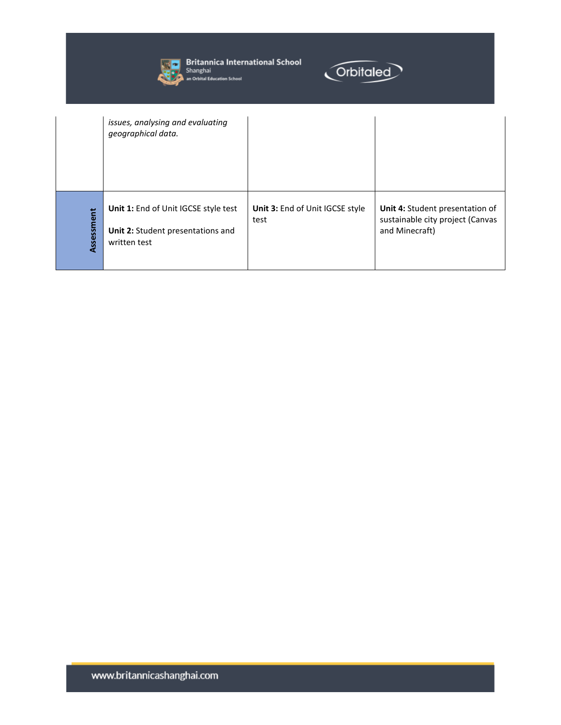

**Start Britannica International School**<br>Shanghai<br>**All An Orbital Education School** 



|            | issues, analysing and evaluating<br>geographical data.                                    |                                         |                                                                                       |
|------------|-------------------------------------------------------------------------------------------|-----------------------------------------|---------------------------------------------------------------------------------------|
| Assessment | Unit 1: End of Unit IGCSE style test<br>Unit 2: Student presentations and<br>written test | Unit 3: End of Unit IGCSE style<br>test | Unit 4: Student presentation of<br>sustainable city project (Canvas<br>and Minecraft) |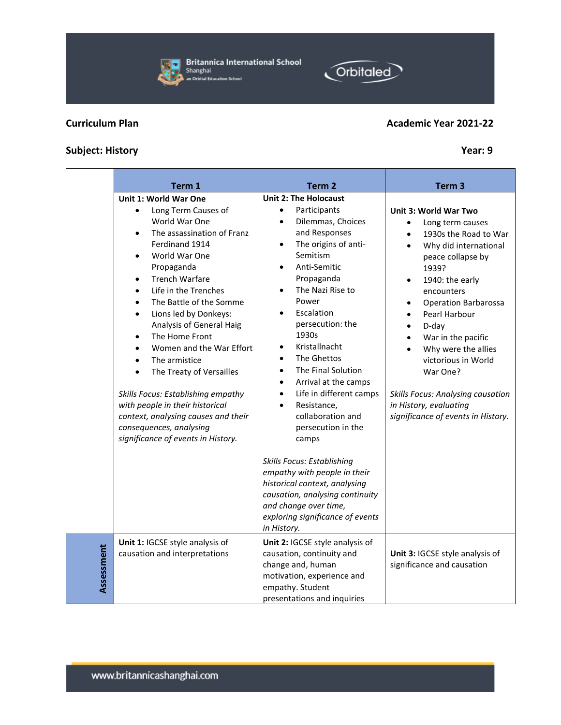

**Assessment**

| Term 1                                                                                                                                                                                                                                                                                                                                                                                                                                                                    | Term <sub>2</sub>                                                                                                                                                                                                                                                                                                                                               | Term <sub>3</sub>                                                                                                                                                                                                                                                                                                                                            |
|---------------------------------------------------------------------------------------------------------------------------------------------------------------------------------------------------------------------------------------------------------------------------------------------------------------------------------------------------------------------------------------------------------------------------------------------------------------------------|-----------------------------------------------------------------------------------------------------------------------------------------------------------------------------------------------------------------------------------------------------------------------------------------------------------------------------------------------------------------|--------------------------------------------------------------------------------------------------------------------------------------------------------------------------------------------------------------------------------------------------------------------------------------------------------------------------------------------------------------|
| Unit 1: World War One                                                                                                                                                                                                                                                                                                                                                                                                                                                     | <b>Unit 2: The Holocaust</b>                                                                                                                                                                                                                                                                                                                                    |                                                                                                                                                                                                                                                                                                                                                              |
| Long Term Causes of<br>World War One<br>The assassination of Franz<br>$\bullet$<br>Ferdinand 1914<br>World War One<br>$\bullet$<br>Propaganda<br><b>Trench Warfare</b><br>$\bullet$<br>Life in the Trenches<br>$\bullet$<br>The Battle of the Somme<br>$\bullet$<br>Lions led by Donkeys:<br>$\bullet$<br>Analysis of General Haig<br>The Home Front<br>$\bullet$<br>Women and the War Effort<br>$\bullet$<br>The armistice<br>٠<br>The Treaty of Versailles<br>$\bullet$ | Participants<br>$\bullet$<br>Dilemmas, Choices<br>$\bullet$<br>and Responses<br>The origins of anti-<br>$\bullet$<br>Semitism<br>Anti-Semitic<br>$\bullet$<br>Propaganda<br>The Nazi Rise to<br>$\bullet$<br>Power<br>Escalation<br>$\bullet$<br>persecution: the<br>1930s<br>Kristallnacht<br>$\bullet$<br>The Ghettos<br>٠<br>The Final Solution<br>$\bullet$ | Unit 3: World War Two<br>Long term causes<br>٠<br>1930s the Road to War<br>$\bullet$<br>Why did international<br>$\bullet$<br>peace collapse by<br>1939?<br>1940: the early<br>$\bullet$<br>encounters<br><b>Operation Barbarossa</b><br>Pearl Harbour<br>D-day<br>War in the pacific<br>Why were the allies<br>$\bullet$<br>victorious in World<br>War One? |
|                                                                                                                                                                                                                                                                                                                                                                                                                                                                           |                                                                                                                                                                                                                                                                                                                                                                 |                                                                                                                                                                                                                                                                                                                                                              |

• Arrival at the camps • Life in different camps Resistance. collaboration and persecution in the

camps

*Skills Focus: Establishing empathy with people in their historical context, analysing causation, analysing continuity* 

*and change over time,* 

*in History.*

*exploring significance of events* 

**Unit 2:** IGCSE style analysis of causation, continuity and change and, human

motivation, experience and

presentations and inquiries

empathy. Student

## **Subject: History Year: 9**

www.britannicashanghai.com



Orbitaled

| Unit 3: IGCSE style analysis of |
|---------------------------------|
| significance and causation      |

## • Why did international peace collapse by

## 1939? 1940: the early encounters

- Operation Barbarossa
- Pearl Harbour
- D-day

*in History, evaluating* 

- War in the pacific
- Why were the allies victorious in World War One?

*Skills Focus: Analysing causation* 

*significance of events in History.*

**Britannica International School** Shanghai an Orbital Education School



*Skills Focus: Establishing empathy with people in their historical context, analysing causes and their* 

*consequences, analysing significance of events in History.*

**Unit 1:** IGCSE style analysis of causation and interpretations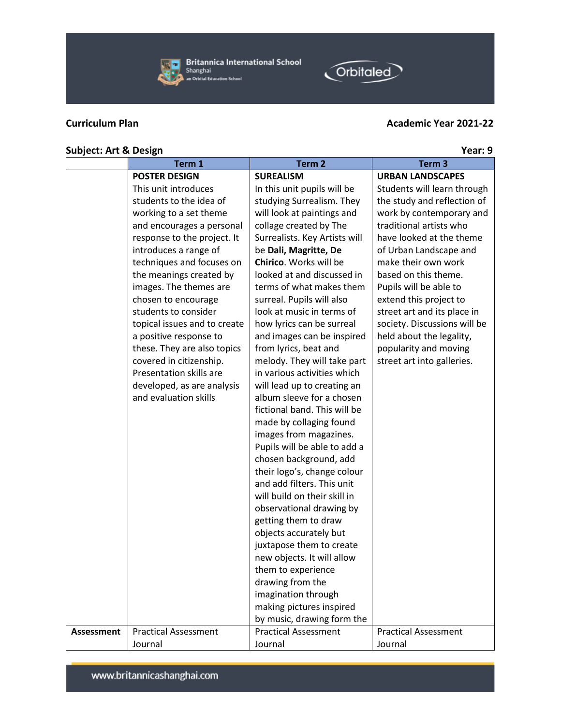

## **Curriculum Plan Academic Year 2021-22**

Orbitaled

## **Subject:** Art & Design **Year:** 9

|                   | Term 1                       | Term <sub>2</sub>             | Term <sub>3</sub>            |
|-------------------|------------------------------|-------------------------------|------------------------------|
|                   | <b>POSTER DESIGN</b>         | <b>SUREALISM</b>              | <b>URBAN LANDSCAPES</b>      |
|                   | This unit introduces         | In this unit pupils will be   | Students will learn through  |
|                   | students to the idea of      | studying Surrealism. They     | the study and reflection of  |
|                   | working to a set theme       | will look at paintings and    | work by contemporary and     |
|                   | and encourages a personal    | collage created by The        | traditional artists who      |
|                   | response to the project. It  | Surrealists. Key Artists will | have looked at the theme     |
|                   | introduces a range of        | be Dali, Magritte, De         | of Urban Landscape and       |
|                   | techniques and focuses on    | Chirico. Works will be        | make their own work          |
|                   | the meanings created by      | looked at and discussed in    | based on this theme.         |
|                   | images. The themes are       | terms of what makes them      | Pupils will be able to       |
|                   | chosen to encourage          | surreal. Pupils will also     | extend this project to       |
|                   | students to consider         | look at music in terms of     | street art and its place in  |
|                   | topical issues and to create | how lyrics can be surreal     | society. Discussions will be |
|                   | a positive response to       | and images can be inspired    | held about the legality,     |
|                   | these. They are also topics  | from lyrics, beat and         | popularity and moving        |
|                   | covered in citizenship.      | melody. They will take part   | street art into galleries.   |
|                   | Presentation skills are      | in various activities which   |                              |
|                   | developed, as are analysis   | will lead up to creating an   |                              |
|                   | and evaluation skills        | album sleeve for a chosen     |                              |
|                   |                              | fictional band. This will be  |                              |
|                   |                              | made by collaging found       |                              |
|                   |                              | images from magazines.        |                              |
|                   |                              | Pupils will be able to add a  |                              |
|                   |                              | chosen background, add        |                              |
|                   |                              | their logo's, change colour   |                              |
|                   |                              | and add filters. This unit    |                              |
|                   |                              | will build on their skill in  |                              |
|                   |                              | observational drawing by      |                              |
|                   |                              | getting them to draw          |                              |
|                   |                              | objects accurately but        |                              |
|                   |                              | juxtapose them to create      |                              |
|                   |                              | new objects. It will allow    |                              |
|                   |                              | them to experience            |                              |
|                   |                              | drawing from the              |                              |
|                   |                              | imagination through           |                              |
|                   |                              | making pictures inspired      |                              |
|                   |                              | by music, drawing form the    |                              |
| <b>Assessment</b> | <b>Practical Assessment</b>  | <b>Practical Assessment</b>   | <b>Practical Assessment</b>  |
|                   | Journal                      | Journal                       | Journal                      |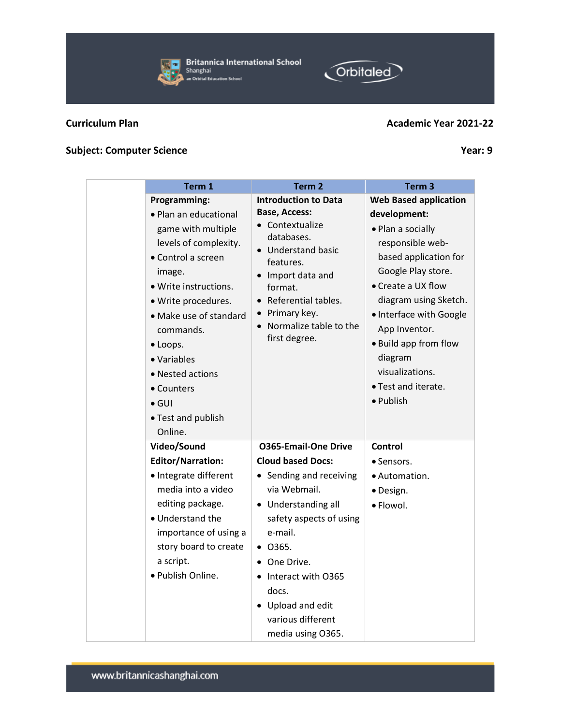**Britannica International School** æl Shanghai an Orbital Education School

## **Curriculum Plan Academic Year 2021-22**

**Orbitaled** 

## **Subject:** Computer Science **Year:** 9

| Term 1                                                                                                                                                                                                                                                                                                                            | Term <sub>2</sub>                                                                                                                                                                                                                                                                                           | Term <sub>3</sub>                                                                                                                                                                                                                                                                                                          |
|-----------------------------------------------------------------------------------------------------------------------------------------------------------------------------------------------------------------------------------------------------------------------------------------------------------------------------------|-------------------------------------------------------------------------------------------------------------------------------------------------------------------------------------------------------------------------------------------------------------------------------------------------------------|----------------------------------------------------------------------------------------------------------------------------------------------------------------------------------------------------------------------------------------------------------------------------------------------------------------------------|
| <b>Programming:</b><br>· Plan an educational<br>game with multiple<br>levels of complexity.<br>• Control a screen<br>image.<br>· Write instructions.<br>· Write procedures.<br>• Make use of standard<br>commands.<br>· Loops.<br>• Variables<br>• Nested actions<br>• Counters<br>$\bullet$ GUI<br>• Test and publish<br>Online. | <b>Introduction to Data</b><br><b>Base, Access:</b><br>$\bullet$ Contextualize<br>databases.<br>• Understand basic<br>features.<br>Import data and<br>format.<br>Referential tables.<br>• Primary key.<br>• Normalize table to the<br>first degree.                                                         | <b>Web Based application</b><br>development:<br>• Plan a socially<br>responsible web-<br>based application for<br>Google Play store.<br>• Create a UX flow<br>diagram using Sketch.<br>· Interface with Google<br>App Inventor.<br>• Build app from flow<br>diagram<br>visualizations.<br>· Test and iterate.<br>· Publish |
| Video/Sound<br><b>Editor/Narration:</b><br>· Integrate different<br>media into a video<br>editing package.<br>• Understand the<br>importance of using a<br>story board to create<br>a script.<br>· Publish Online.                                                                                                                | <b>0365-Email-One Drive</b><br><b>Cloud based Docs:</b><br>• Sending and receiving<br>via Webmail.<br>Understanding all<br>safety aspects of using<br>e-mail.<br>$\bullet$ 0365.<br>One Drive.<br>$\bullet$<br>• Interact with O365<br>docs.<br>• Upload and edit<br>various different<br>media using O365. | Control<br>• Sensors.<br>· Automation.<br>· Design.<br>· Flowol.                                                                                                                                                                                                                                                           |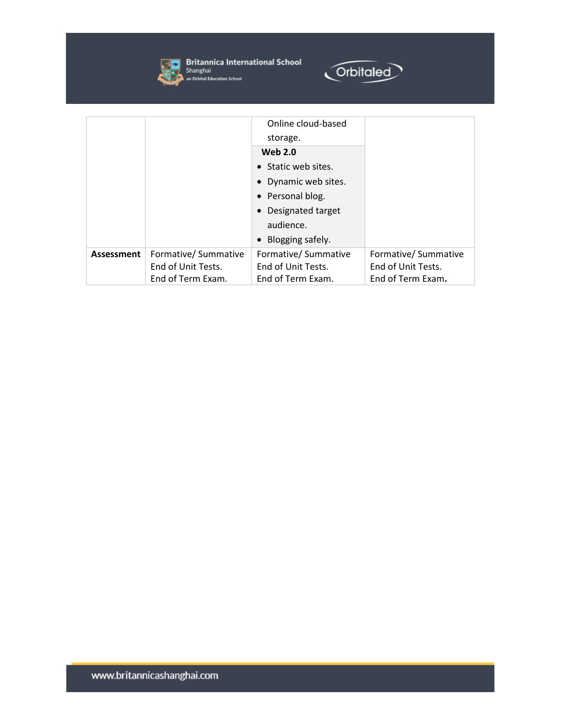

**Single Pritannica International School**<br> **Shanghai**<br> **An Orbital Education School** 



|                   |                      | Online cloud-based   |                      |
|-------------------|----------------------|----------------------|----------------------|
|                   |                      | storage.             |                      |
|                   |                      | <b>Web 2.0</b>       |                      |
|                   |                      | • Static web sites.  |                      |
|                   |                      | • Dynamic web sites. |                      |
|                   |                      | • Personal blog.     |                      |
|                   |                      | • Designated target  |                      |
|                   |                      | audience.            |                      |
|                   |                      | • Blogging safely.   |                      |
| <b>Assessment</b> | Formative/ Summative | Formative/ Summative | Formative/ Summative |
|                   | End of Unit Tests.   | End of Unit Tests.   | End of Unit Tests.   |
|                   | End of Term Exam.    | End of Term Exam.    | End of Term Exam.    |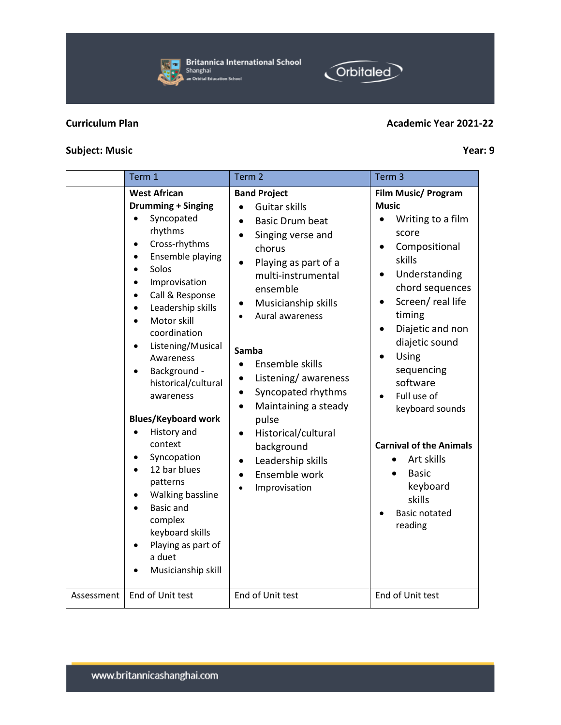## **Subject:** Music Year: 9

|            | Term 1                                                                                                                                                                                                                                                                                                                                                                                                                                                                                                                               | Term <sub>2</sub>                                                                                                                                                                                                                                                                                                                                                                                                                                                                                               | Term <sub>3</sub>                                                                                                                                                                                                                                                                                                                                                                                                            |
|------------|--------------------------------------------------------------------------------------------------------------------------------------------------------------------------------------------------------------------------------------------------------------------------------------------------------------------------------------------------------------------------------------------------------------------------------------------------------------------------------------------------------------------------------------|-----------------------------------------------------------------------------------------------------------------------------------------------------------------------------------------------------------------------------------------------------------------------------------------------------------------------------------------------------------------------------------------------------------------------------------------------------------------------------------------------------------------|------------------------------------------------------------------------------------------------------------------------------------------------------------------------------------------------------------------------------------------------------------------------------------------------------------------------------------------------------------------------------------------------------------------------------|
|            | <b>West African</b><br><b>Drumming + Singing</b><br>Syncopated<br>rhythms<br>Cross-rhythms<br>Ensemble playing<br>Solos<br>Improvisation<br>Call & Response<br>Leadership skills<br>Motor skill<br>coordination<br>Listening/Musical<br>Awareness<br>Background -<br>historical/cultural<br>awareness<br><b>Blues/Keyboard work</b><br>History and<br>context<br>Syncopation<br>12 bar blues<br>patterns<br>Walking bassline<br><b>Basic and</b><br>complex<br>keyboard skills<br>Playing as part of<br>a duet<br>Musicianship skill | <b>Band Project</b><br>Guitar skills<br><b>Basic Drum beat</b><br>$\bullet$<br>Singing verse and<br>chorus<br>Playing as part of a<br>$\bullet$<br>multi-instrumental<br>ensemble<br>Musicianship skills<br>Aural awareness<br>Samba<br>Ensemble skills<br>$\bullet$<br>Listening/awareness<br>$\bullet$<br>Syncopated rhythms<br>$\bullet$<br>Maintaining a steady<br>$\bullet$<br>pulse<br>Historical/cultural<br>$\bullet$<br>background<br>Leadership skills<br>$\bullet$<br>Ensemble work<br>Improvisation | Film Music/ Program<br><b>Music</b><br>Writing to a film<br>score<br>Compositional<br>skills<br>Understanding<br>$\bullet$<br>chord sequences<br>Screen/real life<br>$\bullet$<br>timing<br>Diajetic and non<br>diajetic sound<br>Using<br>sequencing<br>software<br>Full use of<br>keyboard sounds<br><b>Carnival of the Animals</b><br>Art skills<br><b>Basic</b><br>keyboard<br>skills<br><b>Basic notated</b><br>reading |
| Assessment | End of Unit test                                                                                                                                                                                                                                                                                                                                                                                                                                                                                                                     | End of Unit test                                                                                                                                                                                                                                                                                                                                                                                                                                                                                                | End of Unit test                                                                                                                                                                                                                                                                                                                                                                                                             |

## **Curriculum Plan Academic Year 2021-22**



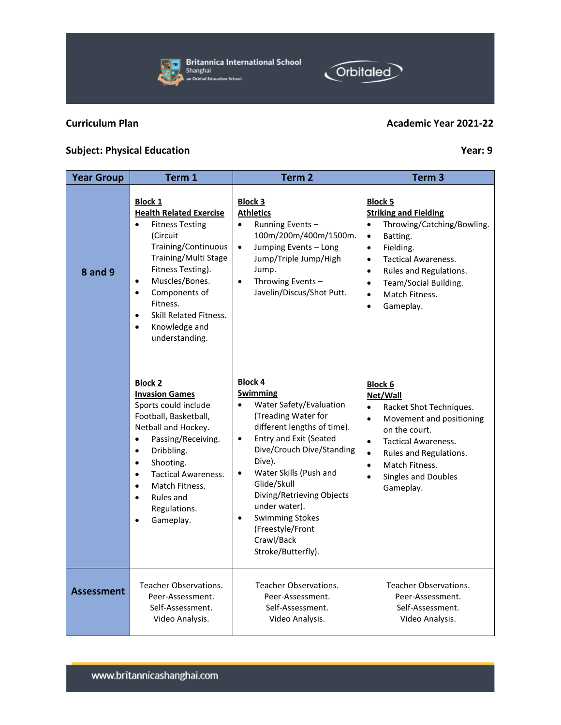www.britannicashanghai.com

## **Subject: Physical Education** *Year:* **9**

| <b>Year Group</b> | Term 1                                                                                                                                                                                                                                                                                                                                                | Term <sub>2</sub>                                                                                                                                                                                                                                                                                                                                                                                          | Term <sub>3</sub>                                                                                                                                                                                                                                                                                                             |
|-------------------|-------------------------------------------------------------------------------------------------------------------------------------------------------------------------------------------------------------------------------------------------------------------------------------------------------------------------------------------------------|------------------------------------------------------------------------------------------------------------------------------------------------------------------------------------------------------------------------------------------------------------------------------------------------------------------------------------------------------------------------------------------------------------|-------------------------------------------------------------------------------------------------------------------------------------------------------------------------------------------------------------------------------------------------------------------------------------------------------------------------------|
| <b>8 and 9</b>    | <b>Block 1</b><br><b>Health Related Exercise</b><br><b>Fitness Testing</b><br>$\bullet$<br>(Circuit<br>Training/Continuous<br>Training/Multi Stage<br>Fitness Testing).<br>Muscles/Bones.<br>$\bullet$<br>Components of<br>$\bullet$<br>Fitness.<br><b>Skill Related Fitness.</b><br>$\bullet$<br>Knowledge and<br>$\bullet$<br>understanding.        | <b>Block 3</b><br><b>Athletics</b><br>Running Events-<br>$\bullet$<br>100m/200m/400m/1500m.<br>Jumping Events - Long<br>$\bullet$<br>Jump/Triple Jump/High<br>Jump.<br>Throwing Events-<br>$\bullet$<br>Javelin/Discus/Shot Putt.                                                                                                                                                                          | <b>Block 5</b><br><b>Striking and Fielding</b><br>Throwing/Catching/Bowling.<br>$\bullet$<br>$\bullet$<br>Batting.<br>Fielding.<br>$\bullet$<br><b>Tactical Awareness.</b><br>$\bullet$<br>Rules and Regulations.<br>$\bullet$<br>Team/Social Building.<br>$\bullet$<br>Match Fitness.<br>$\bullet$<br>Gameplay.<br>$\bullet$ |
|                   | <b>Block 2</b><br><b>Invasion Games</b><br>Sports could include<br>Football, Basketball,<br>Netball and Hockey.<br>Passing/Receiving.<br>$\bullet$<br>Dribbling.<br>$\bullet$<br>Shooting.<br>$\bullet$<br><b>Tactical Awareness.</b><br>$\bullet$<br>Match Fitness.<br>$\bullet$<br>Rules and<br>$\bullet$<br>Regulations.<br>Gameplay.<br>$\bullet$ | <b>Block 4</b><br><b>Swimming</b><br>Water Safety/Evaluation<br>$\bullet$<br>(Treading Water for<br>different lengths of time).<br><b>Entry and Exit (Seated</b><br>$\bullet$<br>Dive/Crouch Dive/Standing<br>Dive).<br>Water Skills (Push and<br>$\bullet$<br>Glide/Skull<br>Diving/Retrieving Objects<br>under water).<br><b>Swimming Stokes</b><br>(Freestyle/Front<br>Crawl/Back<br>Stroke/Butterfly). | <b>Block 6</b><br>Net/Wall<br>Racket Shot Techniques.<br>$\bullet$<br>Movement and positioning<br>$\bullet$<br>on the court.<br><b>Tactical Awareness.</b><br>$\bullet$<br>Rules and Regulations.<br>$\bullet$<br>Match Fitness.<br>$\bullet$<br><b>Singles and Doubles</b><br>$\bullet$<br>Gameplay.                         |
| <b>Assessment</b> | <b>Teacher Observations.</b><br>Peer-Assessment.<br>Self-Assessment.<br>Video Analysis.                                                                                                                                                                                                                                                               | Teacher Observations.<br>Peer-Assessment.<br>Self-Assessment.<br>Video Analysis.                                                                                                                                                                                                                                                                                                                           | Teacher Observations.<br>Peer-Assessment.<br>Self-Assessment.<br>Video Analysis.                                                                                                                                                                                                                                              |



 $\overline{a}$ 



## **Curriculum Plan Academic Year 2021-22**